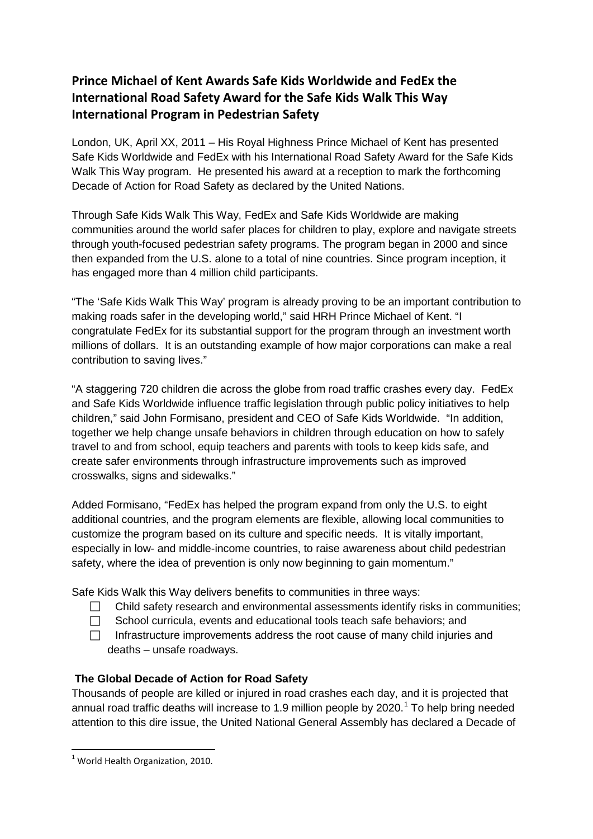# **Prince Michael of Kent Awards Safe Kids Worldwide and FedEx the International Road Safety Award for the Safe Kids Walk This Way International Program in Pedestrian Safety**

London, UK, April XX, 2011 – His Royal Highness Prince Michael of Kent has presented Safe Kids Worldwide and FedEx with his International Road Safety Award for the Safe Kids Walk This Way program. He presented his award at a reception to mark the forthcoming Decade of Action for Road Safety as declared by the United Nations.

Through Safe Kids Walk This Way, FedEx and Safe Kids Worldwide are making communities around the world safer places for children to play, explore and navigate streets through youth-focused pedestrian safety programs. The program began in 2000 and since then expanded from the U.S. alone to a total of nine countries. Since program inception, it has engaged more than 4 million child participants.

"The 'Safe Kids Walk This Way' program is already proving to be an important contribution to making roads safer in the developing world," said HRH Prince Michael of Kent. "I congratulate FedEx for its substantial support for the program through an investment worth millions of dollars. It is an outstanding example of how major corporations can make a real contribution to saving lives."

"A staggering 720 children die across the globe from road traffic crashes every day. FedEx and Safe Kids Worldwide influence traffic legislation through public policy initiatives to help children," said John Formisano, president and CEO of Safe Kids Worldwide. "In addition, together we help change unsafe behaviors in children through education on how to safely travel to and from school, equip teachers and parents with tools to keep kids safe, and create safer environments through infrastructure improvements such as improved crosswalks, signs and sidewalks."

Added Formisano, "FedEx has helped the program expand from only the U.S. to eight additional countries, and the program elements are flexible, allowing local communities to customize the program based on its culture and specific needs. It is vitally important, especially in low- and middle-income countries, to raise awareness about child pedestrian safety, where the idea of prevention is only now beginning to gain momentum."

Safe Kids Walk this Way delivers benefits to communities in three ways:

- $\Box$  Child safety research and environmental assessments identify risks in communities;
- $\Box$  School curricula, events and educational tools teach safe behaviors; and
- $\Box$  Infrastructure improvements address the root cause of many child injuries and deaths – unsafe roadways.

### **The Global Decade of Action for Road Safety**

Thousands of people are killed or injured in road crashes each day, and it is projected that annual road traffic deaths will increase to [1](#page-0-0).9 million people by 2020.<sup>1</sup> To help bring needed attention to this dire issue, the United National General Assembly has declared a Decade of

<span id="page-0-0"></span> $1$  World Health Organization, 2010.